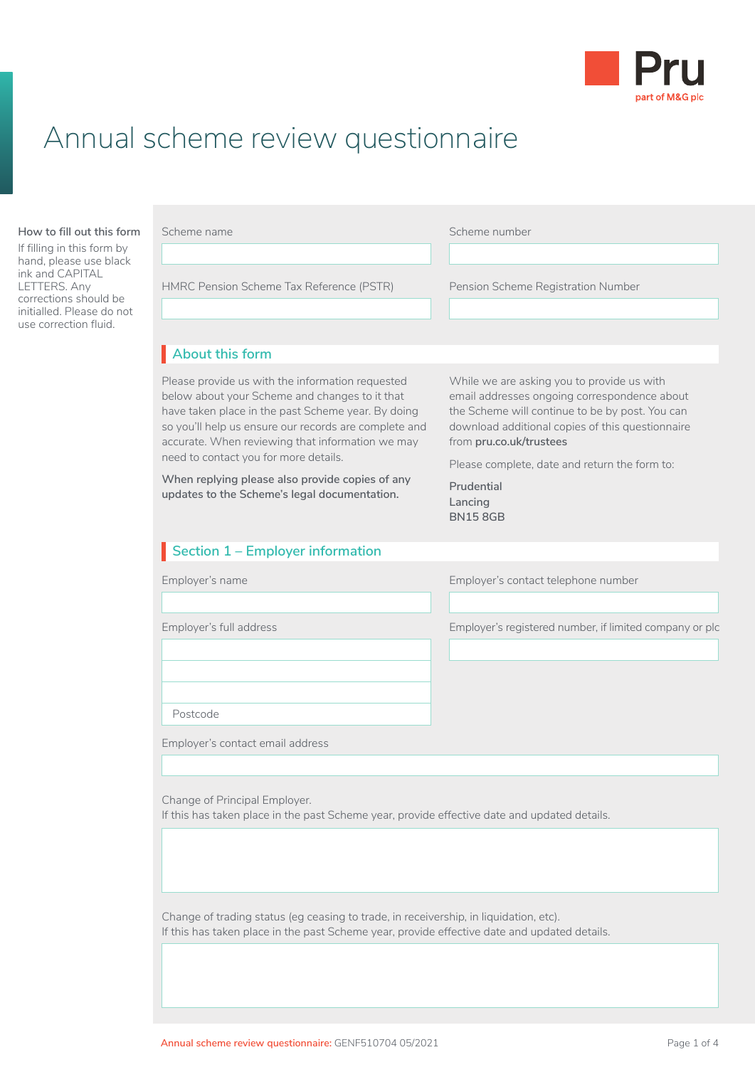

# Annual scheme review questionnaire

#### **How to fill out this form**

If filling in this form by hand, please use black ink and CAPITAL LETTERS. Any corrections should be initialled. Please do not use correction fluid.

| Scheme name                                                                                                                                                                                                                                                                                                                                                                                                       | Scheme number                                                                                                                                                                                                                                                                                                            |
|-------------------------------------------------------------------------------------------------------------------------------------------------------------------------------------------------------------------------------------------------------------------------------------------------------------------------------------------------------------------------------------------------------------------|--------------------------------------------------------------------------------------------------------------------------------------------------------------------------------------------------------------------------------------------------------------------------------------------------------------------------|
| HMRC Pension Scheme Tax Reference (PSTR)                                                                                                                                                                                                                                                                                                                                                                          | Pension Scheme Registration Number                                                                                                                                                                                                                                                                                       |
| About this form                                                                                                                                                                                                                                                                                                                                                                                                   |                                                                                                                                                                                                                                                                                                                          |
| Please provide us with the information requested<br>below about your Scheme and changes to it that<br>have taken place in the past Scheme year. By doing<br>so you'll help us ensure our records are complete and<br>accurate. When reviewing that information we may<br>need to contact you for more details.<br>When replying please also provide copies of any<br>updates to the Scheme's legal documentation. | While we are asking you to provide us with<br>email addresses ongoing correspondence about<br>the Scheme will continue to be by post. You can<br>download additional copies of this questionnaire<br>from pru.co.uk/trustees<br>Please complete, date and return the form to:<br>Prudential<br>Lancing<br><b>BN158GB</b> |
| Section 1 - Employer information                                                                                                                                                                                                                                                                                                                                                                                  |                                                                                                                                                                                                                                                                                                                          |
| Employer's name                                                                                                                                                                                                                                                                                                                                                                                                   | Employer's contact telephone number                                                                                                                                                                                                                                                                                      |
| Employer's full address                                                                                                                                                                                                                                                                                                                                                                                           | Employer's registered number, if limited company or plc                                                                                                                                                                                                                                                                  |
|                                                                                                                                                                                                                                                                                                                                                                                                                   |                                                                                                                                                                                                                                                                                                                          |

Postcode

Employer's contact email address

Change of Principal Employer. If this has taken place in the past Scheme year, provide effective date and updated details.

Change of trading status (eg ceasing to trade, in receivership, in liquidation, etc). If this has taken place in the past Scheme year, provide effective date and updated details.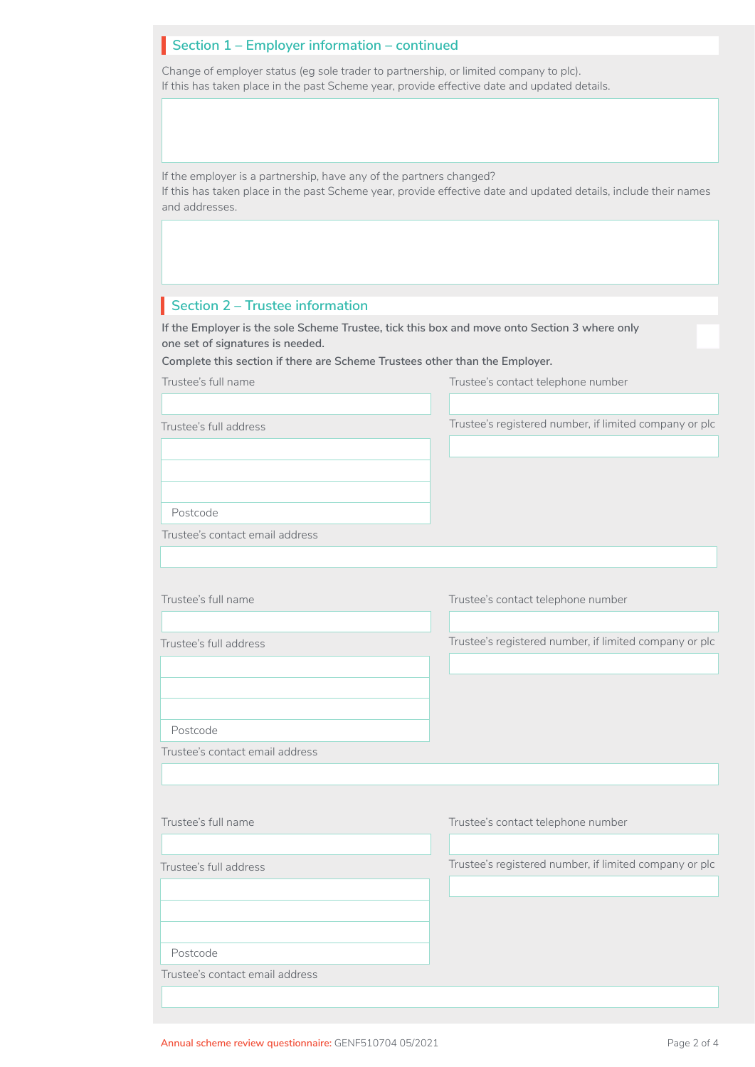## **Section 1 – Employer information – continued**

Change of employer status (eg sole trader to partnership, or limited company to plc). If this has taken place in the past Scheme year, provide effective date and updated details.

If the employer is a partnership, have any of the partners changed? If this has taken place in the past Scheme year, provide effective date and updated details, include their names and addresses.

## **Section 2 – Trustee information**

**If the Employer is the sole Scheme Trustee, tick this box and move onto Section 3 where only one set of signatures is needed.**

**Complete this section if there are Scheme Trustees other than the Employer.**

| Trustee's full name             | Trustee's contact telephone number                     |
|---------------------------------|--------------------------------------------------------|
|                                 |                                                        |
| Trustee's full address          | Trustee's registered number, if limited company or plc |
|                                 |                                                        |
|                                 |                                                        |
| Postcode                        |                                                        |
| Trustee's contact email address |                                                        |
|                                 |                                                        |
|                                 |                                                        |
| Trustee's full name             | Trustee's contact telephone number                     |
|                                 |                                                        |
| Trustee's full address          | Trustee's registered number, if limited company or plc |
|                                 |                                                        |
|                                 |                                                        |
| Postcode                        |                                                        |
| Trustee's contact email address |                                                        |
|                                 |                                                        |
|                                 |                                                        |
| Trustee's full name             | Trustee's contact telephone number                     |
|                                 |                                                        |
| Trustee's full address          | Trustee's registered number, if limited company or plc |
|                                 |                                                        |
|                                 |                                                        |
|                                 |                                                        |
| Postcode                        |                                                        |
| Trustee's contact email address |                                                        |
|                                 |                                                        |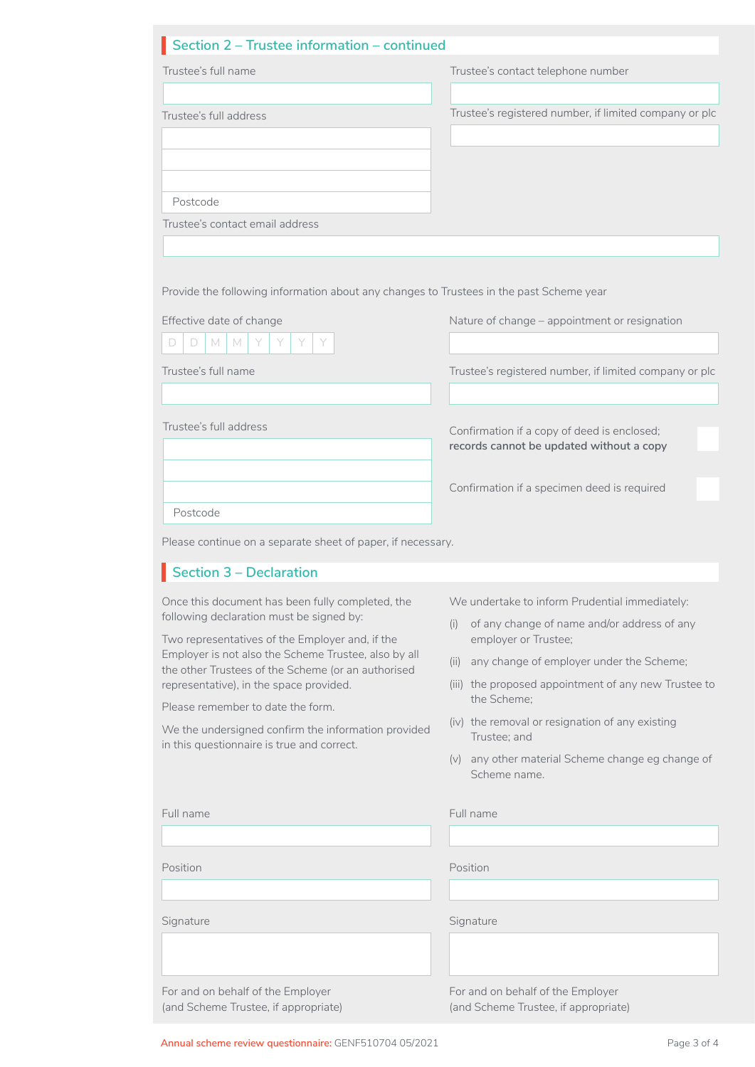## **Section 2 – Trustee information – continued** I

| Trustee's full name                                                                                        | Trustee's contact telephone number                                                      |
|------------------------------------------------------------------------------------------------------------|-----------------------------------------------------------------------------------------|
| Trustee's full address                                                                                     | Trustee's registered number, if limited company or plc                                  |
|                                                                                                            |                                                                                         |
| Postcode                                                                                                   |                                                                                         |
| Trustee's contact email address                                                                            |                                                                                         |
|                                                                                                            |                                                                                         |
| Provide the following information about any changes to Trustees in the past Scheme year                    |                                                                                         |
| Effective date of change                                                                                   | Nature of change - appointment or resignation                                           |
| M<br>D<br>D.<br>M<br>Y<br>Y.<br>Y                                                                          |                                                                                         |
| Trustee's full name                                                                                        | Trustee's registered number, if limited company or plc                                  |
|                                                                                                            |                                                                                         |
| Trustee's full address                                                                                     | Confirmation if a copy of deed is enclosed;<br>records cannot be updated without a copy |
|                                                                                                            |                                                                                         |
| Postcode                                                                                                   | Confirmation if a specimen deed is required                                             |
| Please continue on a separate sheet of paper, if necessary.                                                |                                                                                         |
| Section 3 – Declaration                                                                                    |                                                                                         |
| Once this document has been fully completed, the                                                           | We undertake to inform Prudential immediately:                                          |
| following declaration must be signed by:<br>Two representatives of the Employer and, if the                | (i)<br>of any change of name and/or address of any<br>employer or Trustee;              |
| Employer is not also the Scheme Trustee, also by all<br>the other Trustees of the Scheme (or an authorised | (ii) any change of employer under the Scheme;                                           |
| representative), in the space provided.                                                                    | (iii) the proposed appointment of any new Trustee to<br>the Scheme;                     |
| Please remember to date the form.                                                                          | (iv) the removal or resignation of any existing                                         |
| We the undersigned confirm the information provided<br>in this questionnaire is true and correct.          | Trustee; and                                                                            |
|                                                                                                            | (v) any other material Scheme change eg change of<br>Scheme name.                       |
| Full name                                                                                                  | Full name                                                                               |
|                                                                                                            |                                                                                         |
| Position                                                                                                   | Position                                                                                |
|                                                                                                            |                                                                                         |
| Signature                                                                                                  | Signature                                                                               |
|                                                                                                            |                                                                                         |
| For and on behalf of the Employer<br>(and Scheme Trustee, if appropriate)                                  | For and on behalf of the Employer<br>(and Scheme Trustee, if appropriate)               |